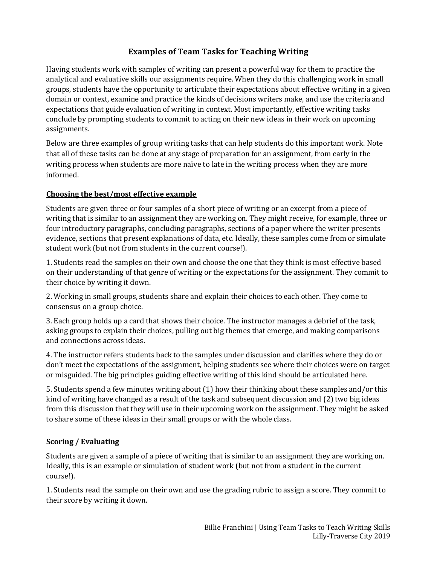## **Examples of Team Tasks for Teaching Writing**

Having students work with samples of writing can present a powerful way for them to practice the analytical and evaluative skills our assignments require. When they do this challenging work in small groups, students have the opportunity to articulate their expectations about effective writing in a given domain or context, examine and practice the kinds of decisions writers make, and use the criteria and expectations that guide evaluation of writing in context. Most importantly, effective writing tasks conclude by prompting students to commit to acting on their new ideas in their work on upcoming assignments.

Below are three examples of group writing tasks that can help students do this important work. Note that all of these tasks can be done at any stage of preparation for an assignment, from early in the writing process when students are more naïve to late in the writing process when they are more informed.

## **Choosing the best/most effective example**

Students are given three or four samples of a short piece of writing or an excerpt from a piece of writing that is similar to an assignment they are working on. They might receive, for example, three or four introductory paragraphs, concluding paragraphs, sections of a paper where the writer presents evidence, sections that present explanations of data, etc. Ideally, these samples come from or simulate student work (but not from students in the current course!).

1. Students read the samples on their own and choose the one that they think is most effective based on their understanding of that genre of writing or the expectations for the assignment. They commit to their choice by writing it down.

2. Working in small groups, students share and explain their choices to each other. They come to consensus on a group choice.

3. Each group holds up a card that shows their choice. The instructor manages a debrief of the task, asking groups to explain their choices, pulling out big themes that emerge, and making comparisons and connections across ideas.

4. The instructor refers students back to the samples under discussion and clarifies where they do or don't meet the expectations of the assignment, helping students see where their choices were on target or misguided. The big principles guiding effective writing of this kind should be articulated here.

5. Students spend a few minutes writing about (1) how their thinking about these samples and/or this kind of writing have changed as a result of the task and subsequent discussion and (2) two big ideas from this discussion that they will use in their upcoming work on the assignment. They might be asked to share some of these ideas in their small groups or with the whole class.

## **Scoring / Evaluating**

Students are given a sample of a piece of writing that is similar to an assignment they are working on. Ideally, this is an example or simulation of student work (but not from a student in the current course!).

1. Students read the sample on their own and use the grading rubric to assign a score. They commit to their score by writing it down.